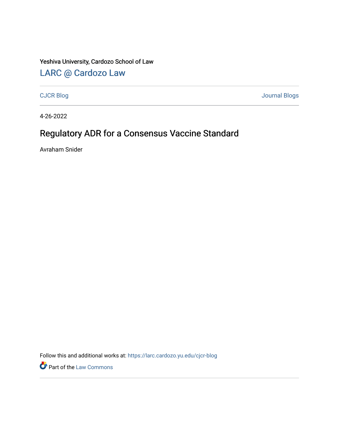### Yeshiva University, Cardozo School of Law

## [LARC @ Cardozo Law](https://larc.cardozo.yu.edu/)

[CJCR Blog](https://larc.cardozo.yu.edu/cjcr-blog) [Journal Blogs](https://larc.cardozo.yu.edu/journal-blogs) 

4-26-2022

# Regulatory ADR for a Consensus Vaccine Standard

Avraham Snider

Follow this and additional works at: [https://larc.cardozo.yu.edu/cjcr-blog](https://larc.cardozo.yu.edu/cjcr-blog?utm_source=larc.cardozo.yu.edu%2Fcjcr-blog%2F34&utm_medium=PDF&utm_campaign=PDFCoverPages) 

**Part of the [Law Commons](http://network.bepress.com/hgg/discipline/578?utm_source=larc.cardozo.yu.edu%2Fcjcr-blog%2F34&utm_medium=PDF&utm_campaign=PDFCoverPages)**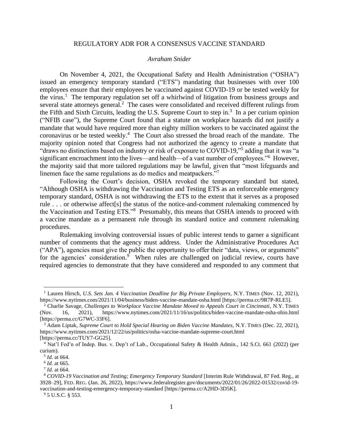#### REGULATORY ADR FOR A CONSENSUS VACCINE STANDARD

#### *Avraham Snider*

On November 4, 2021, the Occupational Safety and Health Administration ("OSHA") issued an emergency temporary standard ("ETS") mandating that businesses with over 100 employees ensure that their employees be vaccinated against COVID-19 or be tested weekly for the virus.<sup>1</sup> The temporary regulation set off a whirlwind of litigation from business groups and several state attorneys general.<sup>2</sup> The cases were consolidated and received different rulings from the Fifth and Sixth Circuits, leading the U.S. Supreme Court to step in.<sup>3</sup> In a per curium opinion ("NFIB case"), the Supreme Court found that a statute on workplace hazards did not justify a mandate that would have required more than eighty million workers to be vaccinated against the coronavirus or be tested weekly.<sup>4</sup> The Court also stressed the broad reach of the mandate. The majority opinion noted that Congress had not authorized the agency to create a mandate that "draws no distinctions based on industry or risk of exposure to COVID-19," adding that it was "a significant encroachment into the lives—and health—of a vast number of employees."<sup>6</sup> However, the majority said that more tailored regulations may be lawful, given that "most lifeguards and linemen face the same regulations as do medics and meatpackers."<sup>7</sup>

Following the Court's decision, OSHA revoked the temporary standard but stated, "Although OSHA is withdrawing the Vaccination and Testing ETS as an enforceable emergency temporary standard, OSHA is not withdrawing the ETS to the extent that it serves as a proposed rule . . . or otherwise affect[s] the status of the notice-and-comment rulemaking commenced by the Vaccination and Testing ETS."<sup>8</sup> Presumably, this means that OSHA intends to proceed with a vaccine mandate as a permanent rule through its standard notice and comment rulemaking procedures.

Rulemaking involving controversial issues of public interest tends to garner a significant number of comments that the agency must address. Under the Administrative Procedures Act ("APA"), agencies must give the public the opportunity to offer their "data, views, or arguments" for the agencies' consideration. $9$  When rules are challenged on judicial review, courts have required agencies to demonstrate that they have considered and responded to any comment that

<sup>&</sup>lt;sup>1</sup> Lauren Hirsch, *U.S. Sets Jan. 4 Vaccination Deadline for Big Private Employers*, N.Y. TIMES (Nov. 12, 2021), https://www.nytimes.com/2021/11/04/business/biden-vaccine-mandate-osha.html [https://perma.cc/9R7P-RLE5].

<sup>&</sup>lt;sup>2</sup> Charlie Savage, *Challenges to Workplace Vaccine Mandate Moved to Appeals Court in Cincinnati*, N.Y. TIMES (Nov. 16, 2021), https://www.nytimes.com/2021/11/16/us/politics/biden-vaccine-mandate-osha-ohio.html [https://perma.cc/G7WC-33F6].

<sup>3</sup> Adam Liptak, *Supreme Court to Hold Special Hearing on Biden Vaccine Mandates*, N.Y. TIMES (Dec. 22, 2021), https://www.nytimes.com/2021/12/22/us/politics/osha-vaccine-mandate-supreme-court.html [https://perma.cc/TUY7-GG25].

<sup>4</sup> Nat'l Fed'n of Indep. Bus. v. Dep't of Lab., Occupational Safety & Health Admin., 142 S.Ct. 661 (2022) (per curium).

<sup>5</sup> *Id.* at 664.

<sup>6</sup> *Id.* at 665.

<sup>7</sup> *Id.* at 664.

<sup>8</sup> *COVID-19 Vaccination and Testing; Emergency Temporary Standard* [Interim Rule Withdrawal, 87 Fed. Reg., at 3928–29], FED. REG. (Jan. 26, 2022), https://www.federalregister.gov/documents/2022/01/26/2022-01532/covid-19 vaccination-and-testing-emergency-temporary-standard [https://perma.cc/A2HD-3D5K].

<sup>9</sup> 5 U.S.C. § 553.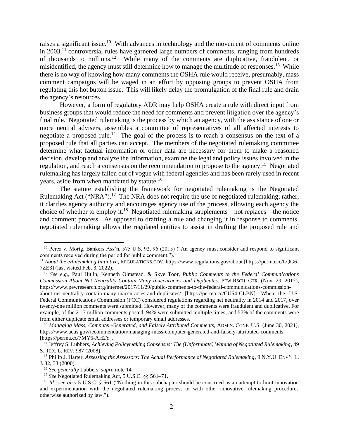raises a significant issue.<sup>10</sup> With advances in technology and the movement of comments online in  $2003$ ,<sup>11</sup> controversial rules have garnered large numbers of comments, ranging from hundreds of thousands to millions. <sup>12</sup> While many of the comments are duplicative, fraudulent, or misidentified, the agency must still determine how to manage the multitude of responses.<sup>13</sup> While there is no way of knowing how many comments the OSHA rule would receive, presumably, mass comment campaigns will be waged in an effort by opposing groups to prevent OSHA from regulating this hot button issue. This will likely delay the promulgation of the final rule and drain the agency's resources.

However, a form of regulatory ADR may help OSHA create a rule with direct input from business groups that would reduce the need for comments and prevent litigation over the agency's final rule. Negotiated rulemaking is the process by which an agency, with the assistance of one or more neutral advisers, assembles a committee of representatives of all affected interests to negotiate a proposed rule.<sup>14</sup> The goal of the process is to reach a consensus on the text of a proposed rule that all parties can accept. The members of the negotiated rulemaking committee determine what factual information or other data are necessary for them to make a reasoned decision, develop and analyze the information, examine the legal and policy issues involved in the regulation, and reach a consensus on the recommendation to propose to the agency.<sup>15</sup> Negotiated rulemaking has largely fallen out of vogue with federal agencies and has been rarely used in recent years, aside from when mandated by statute.<sup>16</sup>

The statute establishing the framework for negotiated rulemaking is the Negotiated Rulemaking Act ("NRA").<sup>17</sup> The NRA does not require the use of negotiated rulemaking; rather, it clarifies agency authority and encourages agency use of the process, allowing each agency the choice of whether to employ it.<sup>18</sup> Negotiated rulemaking supplements—not replaces—the notice and comment process. As opposed to drafting a rule and changing it in response to comments, negotiated rulemaking allows the regulated entities to assist in drafting the proposed rule and

<sup>10</sup> Perez v. Mortg. Bankers Ass'n, 575 U.S. 92, 96 (2015) ("An agency must consider and respond to significant comments received during the period for public comment.").

<sup>11</sup> *About the eRulemaking Initiative*, REGULATIONS.GOV, https://www.regulations.gov/about [https://perma.cc/LQG6- 7ZE3] (last visited Feb. 3, 2022).

<sup>12</sup> *See e.g.*, Paul Hitlin, Kenneth Olmstead, & Skye Toor, *Public Comments to the Federal Communications Commission About Net Neutrality Contain Many Inaccuracies and Duplicates*, PEW RSCH. CTR. (Nov. 29, 2017), https://www.pewresearch.org/internet/2017/11/29/public-comments-to-the-federal-communications-commission-

about-net-neutrality-contain-many-inaccuracies-and-duplicates/ [https://perma.cc/CU54-CLBN]. When the U.S. Federal Communications Commission (FCC) considered regulations regarding net neutrality in 2014 and 2017, over twenty-one million comments were submitted. However, many of the comments were fraudulent and duplicative. For example, of the 21.7 million comments posted, 94% were submitted multiple times, and 57% of the comments were from either duplicate email addresses or temporary email addresses.

<sup>13</sup> *Managing Mass, Computer-Generated, and Falsely Attributed Comments*, ADMIN. CONF. U.S. (June 30, 2021), https://www.acus.gov/recommendation/managing-mass-computer-generated-and-falsely-attributed-comments [https://perma.cc/7MY6-AH2Y].

<sup>14</sup> Jeffrey S. Lubbers, *Achieving Policymaking Consensus: The (Unfortunate) Waning of Negotiated Rulemaking*, 49 S. TEX. L. REV. 987 (2008).

<sup>15</sup> Philip J. Harter, *Assessing the Assessors: The Actual Performance of Negotiated Rulemaking*, 9 N.Y.U. ENV'T L. J. 32, 33 (2000).

<sup>16</sup> *See generally* Lubbers, *supra* note 14.

<sup>&</sup>lt;sup>17</sup> See Negotiated Rulemaking Act, 5 U.S.C. §§ 561–71.

<sup>18</sup> *Id.*; *see also* 5 U.S.C. § 561 ("Nothing in this subchapter should be construed as an attempt to limit innovation and experimentation with the negotiated rulemaking process or with other innovative rulemaking procedures otherwise authorized by law.").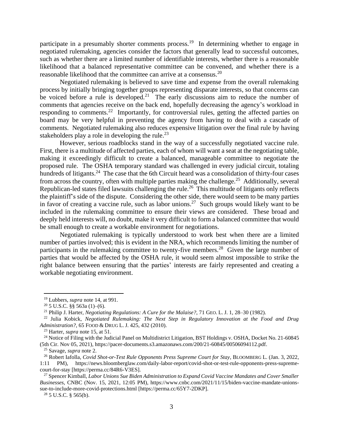participate in a presumably shorter comments process.<sup>19</sup> In determining whether to engage in negotiated rulemaking, agencies consider the factors that generally lead to successful outcomes, such as whether there are a limited number of identifiable interests, whether there is a reasonable likelihood that a balanced representative committee can be convened, and whether there is a reasonable likelihood that the committee can arrive at a consensus.<sup>20</sup>

Negotiated rulemaking is believed to save time and expense from the overall rulemaking process by initially bringing together groups representing disparate interests, so that concerns can be voiced before a rule is developed.<sup>21</sup> The early discussions aim to reduce the number of comments that agencies receive on the back end, hopefully decreasing the agency's workload in responding to comments.<sup>22</sup> Importantly, for controversial rules, getting the affected parties on board may be very helpful in preventing the agency from having to deal with a cascade of comments. Negotiated rulemaking also reduces expensive litigation over the final rule by having stakeholders play a role in developing the rule.<sup>23</sup>

However, serious roadblocks stand in the way of a successfully negotiated vaccine rule. First, there is a multitude of affected parties, each of whom will want a seat at the negotiating table, making it exceedingly difficult to create a balanced, manageable committee to negotiate the proposed rule. The OSHA temporary standard was challenged in every judicial circuit, totaling hundreds of litigants.<sup>24</sup> The case that the 6th Circuit heard was a consolidation of thirty-four cases from across the country, often with multiple parties making the challenge.<sup>25</sup> Additionally, several Republican-led states filed lawsuits challenging the rule.<sup>26</sup> This multitude of litigants only reflects the plaintiff's side of the dispute. Considering the other side, there would seem to be many parties in favor of creating a vaccine rule, such as labor unions.<sup>27</sup> Such groups would likely want to be included in the rulemaking committee to ensure their views are considered. These broad and deeply held interests will, no doubt, make it very difficult to form a balanced committee that would be small enough to create a workable environment for negotiations.

Negotiated rulemaking is typically understood to work best when there are a limited number of parties involved; this is evident in the NRA, which recommends limiting the number of participants in the rulemaking committee to twenty-five members.<sup>28</sup> Given the large number of parties that would be affected by the OSHA rule, it would seem almost impossible to strike the right balance between ensuring that the parties' interests are fairly represented and creating a workable negotiating environment.

<sup>28</sup> 5 U.S.C. § 565(b).

<sup>19</sup> Lubbers, *supra* note 14, at 991.

 $20\,5$  U.S.C. §§ 563a (1)–(6).

<sup>21</sup> Philip J. Harter, *Negotiating Regulations: A Cure for the Malaise?*, 71 GEO. L. J. 1, 28–30 (1982).

<sup>22</sup> Julia Kobick, *Negotiated Rulemaking: The Next Step in Regulatory Innovation at the Food and Drug Administration?*, 65 FOOD & DRUG L. J. 425, 432 (2010).

<sup>23</sup> Harter, *supra* note 15, at 51.

<sup>&</sup>lt;sup>24</sup> Notice of Filing with the Judicial Panel on Multidistrict Litigation, BST Holdings v. OSHA, Docket No. 21-60845 (5th Cir. Nov 05, 2021), https://pacer-documents.s3.amazonaws.com/200/21-60845/00506094112.pdf.

<sup>25</sup> Savage, *supra* note 2.

<sup>26</sup> Robert Iafolla, *Covid Shot-or-Test Rule Opponents Press Supreme Court for Stay*, BLOOMBERG L. (Jan. 3, 2022, 1:11 PM), https://news.bloomberglaw.com/daily-labor-report/covid-shot-or-test-rule-opponents-press-supremecourt-for-stay [https://perma.cc/84R6-V3ES].

<sup>27</sup> Spencer Kimball, *Labor Unions Sue Biden Administration to Expand Covid Vaccine Mandates and Cover Smaller Businesses*, CNBC (Nov. 15, 2021, 12:05 PM), https://www.cnbc.com/2021/11/15/biden-vaccine-mandate-unionssue-to-include-more-covid-protections.html [https://perma.cc/65Y7-2DKP].